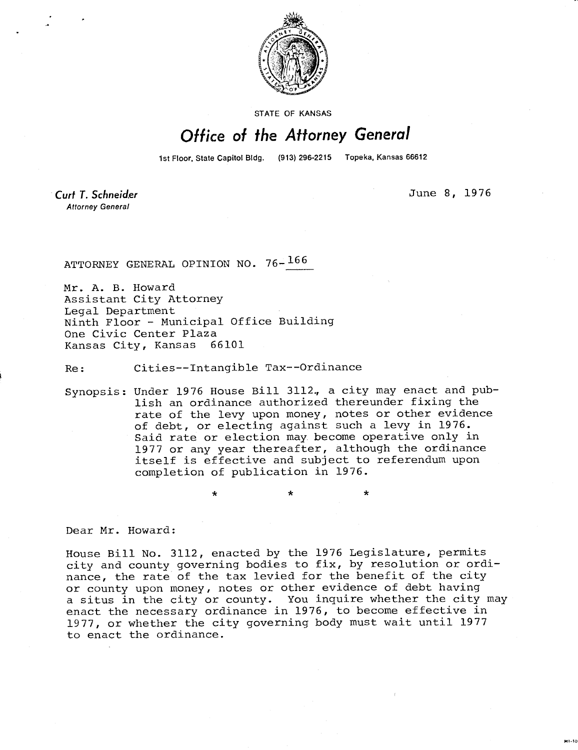

STATE OF KANSAS

## Office of the Attorney General

1st Floor, State Capitol Bldg. (913) 296-2215 Topeka, Kansas 66612

Curt T. Schneider **Attorney General** 

June 8, 1976

ATTORNEY GENERAL OPINION NO. 76- <sup>166</sup>

Mr. A. B. Howard Assistant City Attorney Legal Department Ninth Floor - Municipal Office Building One Civic Center Plaza<br>Kansas City, Kansas 66101 Kansas City, Kansas

Re: Cities--Intangible Tax--Ordinance

Synopsis: Under 1976 House Bill 3112., a city may enact and publish an ordinance authorized thereunder fixing the rate of the levy upon money, notes or other evidence of debt, or electing against such a levy in 1976. Said rate or election may become operative only in 1977 or any year thereafter, although the ordinance itself is effective and subject to referendum upon completion of publication in 1976.

Dear Mr. Howard:

House Bill No. 3112, enacted by the 1976 Legislature, permits city and county governing bodies to fix, by resolution or ordinance, the rate of the tax levied for the benefit of the city or county upon money, notes or other evidence of debt having a situs in the city or county. You inquire whether the city may enact the necessary ordinance in 1976, to become effective in 1977, or whether the city governing body must wait until 1977 to enact the ordinance.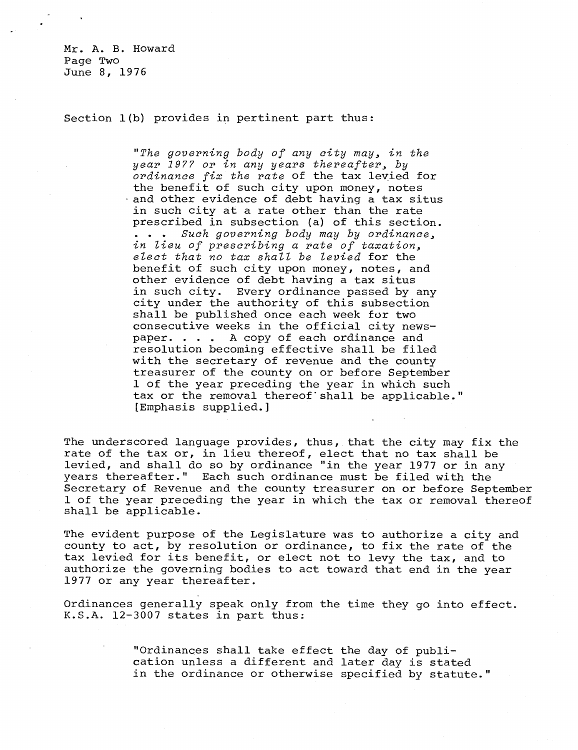Mr. A. B. Howard Page Two June 8, 1976

Section 1(b) provides in pertinent part thus:

"The governing body of any city may, in the year 1977 or in any years thereafter, by ordinance fix the rate of the tax levied for the benefit of such city upon money, notes and other evidence of debt having a tax situs in such city at a rate other than the rate prescribed in subsection (a) of this section. . . . Such governing body may by ordinance, in lieu of prescribing a rate of taxation, elect that no tax shall be levied for the benefit of such city upon money, notes, and other evidence of debt having a tax situs in such city. Every ordinance passed by any city under the authority of this subsection shall be published once each week for two consecutive weeks in the official city newspaper. . . . A copy of each ordinance and resolution becoming effective shall be filed with the secretary of revenue and the county treasurer of the county on or before September 1 of the year preceding the year in which such tax or the removal thereof shall be applicable." [Emphasis supplied.]

The underscored language provides, thus, that the city may fix the rate of the tax or, in lieu thereof, elect that no tax shall be levied, and shall do so by ordinance "in the year 1977 or in any years thereafter." Each such ordinance must be filed with the Secretary of Revenue and the county treasurer on or before September 1 of the year preceding the year in which the tax or removal thereof shall be applicable.

The evident purpose of the Legislature was to authorize a city and county to act, by resolution or ordinance, to fix the rate of the tax levied for its benefit, or elect not to levy the tax, and to authorize the governing bodies to act toward that end in the year 1977 or any year thereafter.

Ordinances generally speak only from the time they go into effect. K.S.A. 12-3007 states in part thus:

> "Ordinances shall take effect the day of publication unless a different and later day is stated in the ordinance or otherwise specified by statute."